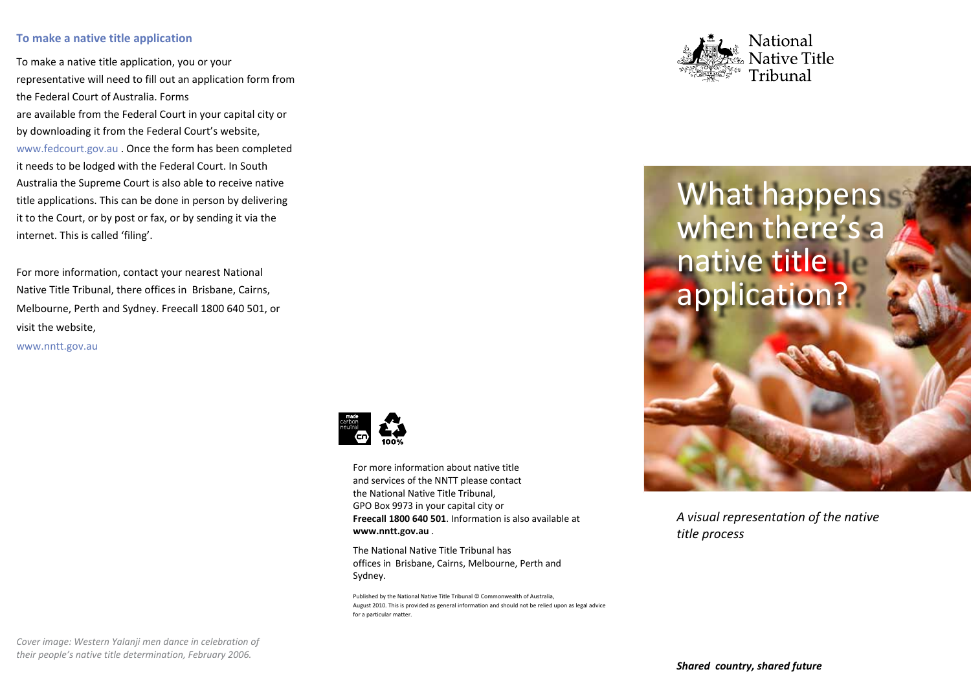## **To make a native title application**

To make a native title application, you or your representative will need to fill out an application form from the Federal Court of Australia. Forms are available from the Federal Court in your capital city or by downloading it from the Federal Court's website, www.fedcourt.gov.au . Once the form has been completed it needs to be lodged with the Federal Court. In South Australia the Supreme Court is also able to receive native title applications. This can be done in person by delivering it to the Court, or by post or fax, or by sending it via the internet. This is called 'filing'.

For more information, contact your nearest National Native Title Tribunal, there offices in Brisbane, Cairns, Melbourne, Perth and Sydney. Freecall 1800 640 501, or visit the website, www.nntt.gov.au



For more information about native title and services of the NNTT please contact the National Native Title Tribunal, GPO Box 9973 in your capital city or **Freecall 1800 640 501**. Information is also available at **www.nntt.gov.au** .

The National Native Title Tribunal has offices in Brisbane, Cairns, Melbourne, Perth and Sydney.

Published by the National Native Title Tribunal © Commonwealth of Australia, August 2010. This is provided as general information and should not be relied upon as legal advice for a particular matter.



## What happens when there's a native title. application?

*A visual representation of the native title process*